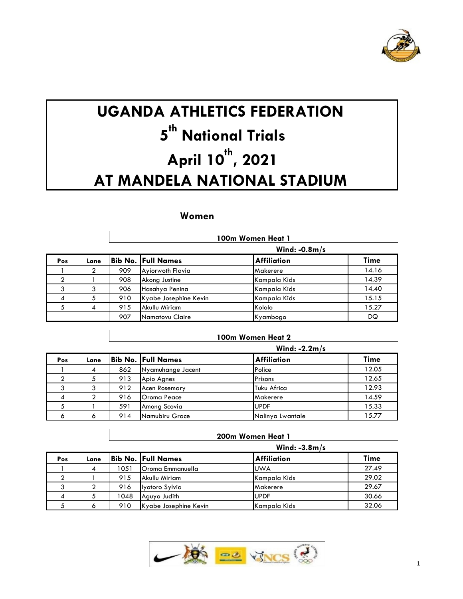

# **UGANDA ATHLETICS FEDERATION 5 th National Trials April 10 th , 2021 AT MANDELA NATIONAL STADIUM**

## **Women**

 $\overline{1}$ 

|     |      |     | 100m Women Heat 1         |                    |       |  |  |  |
|-----|------|-----|---------------------------|--------------------|-------|--|--|--|
|     |      |     |                           | Wind: $-0.8m/s$    |       |  |  |  |
| Pos | Lane |     | <b>Bib No. Full Names</b> | <b>Affiliation</b> | Time  |  |  |  |
|     |      | 909 | Ayiorwoth Flavia          | Makerere           | 14.16 |  |  |  |
| ົ   |      | 908 | Akong Justine             | Kampala Kids       | 14.39 |  |  |  |
| 3   | 3    | 906 | Hasahya Penina            | Kampala Kids       | 14.40 |  |  |  |
| 4   | 5    | 910 | Kyabe Josephine Kevin     | Kampala Kids       | 15.15 |  |  |  |
| 5   | 4    | 915 | Akullu Miriam             | Kololo             | 15.27 |  |  |  |
|     |      | 907 | Namatovu Claire           | Kyambogo           | DQ    |  |  |  |

## **100m Women Heat 2**

**200m Women Heat 1**

|                |      |     |                           | Wind: $-2.2m/s$    |       |
|----------------|------|-----|---------------------------|--------------------|-------|
| Pos            | Lane |     | <b>Bib No. Full Names</b> | <b>Affiliation</b> | Time  |
|                | 4    | 862 | Nyamuhange Jacent         | Police             | 12.05 |
|                |      | 913 | Apio Agnes                | Prisons            | 12.65 |
|                |      | 912 | Acen Rosemary             | Tuku Africa        | 12.93 |
| $\overline{A}$ | 2    | 916 | <b>Oroma Peace</b>        | Makerere           | 14.59 |
| 5              |      | 591 | Among Scovia              | <b>UPDF</b>        | 15.33 |
|                |      | 914 | Namubiru Grace            | Nalinya Lwantale   | 15.77 |

|     |      |      |                       | Wind: $-3.8m/s$    |       |
|-----|------|------|-----------------------|--------------------|-------|
| Pos | Lane |      | Bib No.  Full Names   | <b>Affiliation</b> | Time  |
|     |      | 1051 | Oroma Emmanuella      | <b>UWA</b>         | 27.49 |
|     |      | 915  | Akullu Miriam         | Kampala Kids       | 29.02 |
|     |      | 916  | Iyotoro Sylvia        | <b>Makerere</b>    | 29.67 |
|     |      | 1048 | Aguyo Judith          | <b>UPDF</b>        | 30.66 |
|     |      | 910  | Kyabe Josephine Kevin | Kampala Kids       | 32.06 |

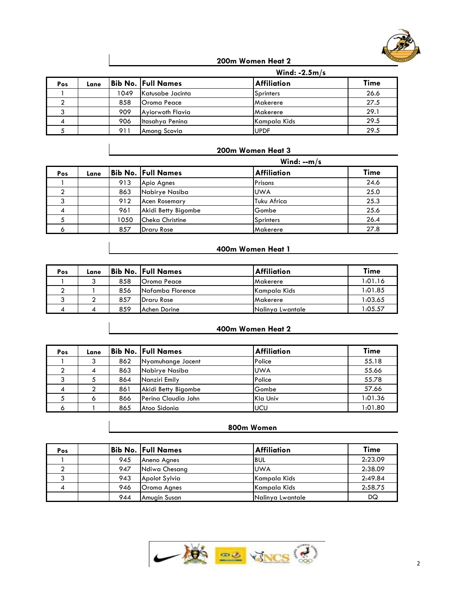

**200m Women Heat 2**

|     |      |      |                           | Wind: $-2.5m/s$    |             |
|-----|------|------|---------------------------|--------------------|-------------|
| Pos | Lane |      | <b>Bib No. Full Names</b> | <b>Affiliation</b> | <b>Time</b> |
|     |      | 1049 | Katusabe Jacinta          | Sprinters          | 26.6        |
|     |      | 858  | Oroma Peace               | Makerere           | 27.5        |
|     |      | 909  | Ayiorwoth Flavia          | Makerere           | 29.1        |
|     |      | 906  | Itasahya Penina           | Kampala Kids       | 29.5        |
|     |      | 911  | Among Scovia              | <b>UPDF</b>        | 29.5        |

#### **200m Women Heat 3**

|     |      |      |                           | Wind: $-m/s$ |      |
|-----|------|------|---------------------------|--------------|------|
| Pos | Lane |      | <b>Bib No. Full Names</b> | Affiliation  | Time |
|     |      | 913  | Apio Agnes                | Prisons      | 24.6 |
|     |      | 863  | Nabirye Nasiba            | <b>UWA</b>   | 25.0 |
|     |      | 912  | <b>Acen Rosemary</b>      | Tuku Africa  | 25.3 |
|     |      | 961  | Akidi Betty Bigombe       | Gombe        | 25.6 |
|     |      | 1050 | <b>Cheka Christine</b>    | Sprinters    | 26.4 |
|     |      | 857  | <b>Draru Rose</b>         | Makerere     | 27.8 |

# **400m Women Heat 1**

| Pos | Lane |     | <b>Bib No. Full Names</b> | <b>Affiliation</b> | Time     |
|-----|------|-----|---------------------------|--------------------|----------|
|     |      | 858 | <b>Oroma Peace</b>        | Makerere           | 1:01.16  |
|     |      | 856 | Nafamba Florence          | Kampala Kids       | 1:01.85  |
|     |      | 857 | <b>IDraru Rose</b>        | Makerere           | 1:03.65  |
|     |      | 859 | Achen Dorine              | INalinya Lwantale  | 05.57؛ ا |

#### **400m Women Heat 2**

| Pos | Lane |     | Bib No.  Full Names | <b>Affiliation</b> | Time    |
|-----|------|-----|---------------------|--------------------|---------|
|     | 3    | 862 | Nyamuhange Jacent   | Police             | 55.18   |
|     | 4    | 863 | Nabirye Nasiba      | <b>UWA</b>         | 55.66   |
|     |      | 864 | Nanziri Emily       | Police             | 55.78   |
| 4   |      | 861 | Akidi Betty Bigombe | Gombe              | 57.66   |
|     | o    | 866 | Perina Claudia John | Kla Univ           | 1:01.36 |
| O   |      | 865 | Atoo Sidonia        | <b>UCU</b>         | 1:01.80 |

#### **800m Women**

| Pos |     | <b>Bib No. Full Names</b> | <b>Affiliation</b> | Time    |
|-----|-----|---------------------------|--------------------|---------|
|     | 945 | Aneno Agnes               | <b>BUL</b>         | 2:23.09 |
|     | 947 | Ndiwa Chesang             | <b>UWA</b>         | 2:38.09 |
| ົ   | 943 | Apolot Sylvia             | Kampala Kids       | 2:49.84 |
|     | 946 | <b>Oroma Agnes</b>        | Kampala Kids       | 2:58.75 |
|     | 944 | Amuain Susan              | Nalinya Lwantale   | DQ      |

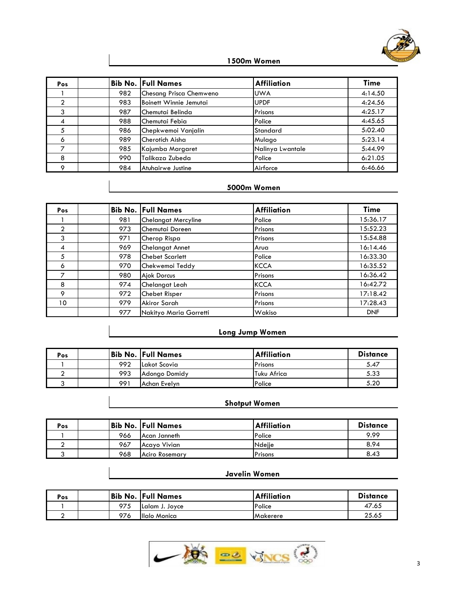

# **1500m Women**

| <b>Pos</b> |     | <b>Bib No. Full Names</b> | <b>Affiliation</b> | Time    |
|------------|-----|---------------------------|--------------------|---------|
|            | 982 | Chesang Prisca Chemweno   | <b>UWA</b>         | 4:14.50 |
|            | 983 | Boinett Winnie Jemutai    | <b>UPDF</b>        | 4:24.56 |
| 3          | 987 | Chemutai Belinda          | Prisons            | 4:25.17 |
| 4          | 988 | Chemutai Febia            | Police             | 4:45.65 |
| 5          | 986 | Chepkwemoi Vanjalin       | Standard           | 5:02.40 |
| 6          | 989 | Cherotich Aisha           | Mulago             | 5:23.14 |
|            | 985 | Kajumba Margaret          | Nalinya Lwantale   | 5:44.99 |
| 8          | 990 | lTalikaza Zubeda          | Police             | 6:21.05 |
| C          | 984 | Atuhairwe Justine         | Airforce           | 6:46.66 |

# **5000m Women**

| Pos            |     | <b>Bib No. Full Names</b>  | <b>Affiliation</b> | <b>Time</b> |
|----------------|-----|----------------------------|--------------------|-------------|
|                | 981 | <b>Chelangat Mercyline</b> | Police             | 15:36.17    |
| $\overline{2}$ | 973 | Chemutai Doreen            | Prisons            | 15:52.23    |
| 3              | 971 | Cherop Rispa               | Prisons            | 15:54.88    |
| 4              | 969 | <b>Chelangat Annet</b>     | Arua               | 16:14.46    |
| 5              | 978 | <b>Chebet Scarlett</b>     | Police             | 16:33.30    |
| 6              | 970 | Chekwemoi Teddy            | <b>KCCA</b>        | 16:35.52    |
| 7              | 980 | <b>Ajok Dorcus</b>         | Prisons            | 16:36.42    |
| 8              | 974 | Chelangat Leah             | <b>KCCA</b>        | 16:42.72    |
| 9              | 972 | Chebet Risper              | Prisons            | 17:18.42    |
| 10             | 979 | Akiror Sarah               | Prisons            | 17:28.43    |
|                | 977 | Nakityo Maria Gorretti     | Wakiso             | <b>DNF</b>  |

## **Long Jump Women**

| Pos |     | <b>Bib No. Full Names</b> | <b>Affiliation</b> | <b>Distance</b> |
|-----|-----|---------------------------|--------------------|-----------------|
|     | 992 | Lakot Scovia              | Prisons            | 5.47            |
|     | 993 | <b>Adonao Domidy</b>      | <b>Tuku Africa</b> | 5.33            |
|     | 991 | lAchan Evelyn             | Police             | 5.20            |

# **Shotput Women**

| Pos |     | <b>Bib No. Full Names</b> | <b>Affiliation</b> | <b>Distance</b> |
|-----|-----|---------------------------|--------------------|-----------------|
|     | 966 | IAcan Janneth             | Police             | 9.99            |
|     | 967 | Acayo Vivian              | Ndejje             | 8.94            |
|     | 968 | <b>Aciro Rosemary</b>     | Prisons            | 8.43            |

#### **Javelin Women**

| Pos | Bib No. | <b>Full Names</b> | <b>Affiliation</b> | <b>Distance</b> |
|-----|---------|-------------------|--------------------|-----------------|
|     | 975     | Lalam J. Jovce    | Police             | 47.65           |
|     | 976     | Illalo Monica     | <b>Makerere</b>    | 25.65           |

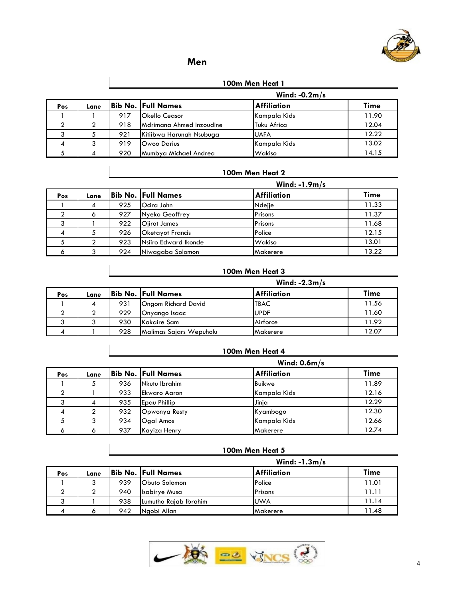

# **Men**

#### **100m Men Heat 1**

|     |      |     |                           | Wind: $-0.2m/s$    |       |
|-----|------|-----|---------------------------|--------------------|-------|
| Pos | Lane |     | <b>Bib No. Full Names</b> | <b>Affiliation</b> | Time  |
|     |      | 917 | Okello Ceasor             | Kampala Kids       | 11.90 |
|     |      | 918 | Mdrimana Ahmed Inzoudine  | <b>Tuku Africa</b> | 12.04 |
|     |      | 921 | Kitiibwa Harunah Nsubuga  | <b>UAFA</b>        | 12.22 |
|     |      | 919 | Owoo Darius               | Kampala Kids       | 13.02 |
|     | 4    | 920 | Mumbya Michael Andrea     | Wakiso             | 14.15 |

#### **100m Men Heat 2**

|     |      |     |                           | Wind: $-1.9m/s$    |       |
|-----|------|-----|---------------------------|--------------------|-------|
| Pos | Lane |     | <b>Bib No. Full Names</b> | <b>Affiliation</b> | Time  |
|     |      | 925 | Ocira John                | Ndejje             | 11.33 |
|     | O    | 927 | Nyeko Geoffrey            | Prisons            | 11.37 |
|     |      | 922 | <b>Ojirot James</b>       | Prisons            | 11.68 |
|     |      | 926 | <b>Oketayot Francis</b>   | Police             | 12.15 |
|     |      | 923 | Nsiiro Edward Ikonde      | Wakiso             | 13.01 |
|     |      | 924 | Niwagaba Solomon          | <b>Makerere</b>    | 13.22 |

### **100m Men Heat 3**

|     |      |     |                            | Wind: $-2.3m/s$    |       |
|-----|------|-----|----------------------------|--------------------|-------|
| Pos | Lane |     | Bib No.  Full Names        | <b>Affiliation</b> | Time  |
|     |      | 931 | <b>Ongom Richard David</b> | <b>TBAC</b>        | 11.56 |
|     |      | 929 | Onyango Isaac              | <b>UPDF</b>        | 11.60 |
|     |      | 930 | Kakaire Sam                | Airforce           | 11.92 |
| 4   |      | 928 | Malimas Sajars Wepuholu    | Makerere           | 12.07 |

## **100m Men Heat 4**

|     |      |     |                           | Wind: $0.6m/s$     |       |
|-----|------|-----|---------------------------|--------------------|-------|
| Pos | Lane |     | <b>Bib No. Full Names</b> | <b>Affiliation</b> | Time  |
|     | 5    | 936 | Nkutu Ibrahim             | Buikwe             | 11.89 |
|     |      | 933 | Ekwaro Aaron              | Kampala Kids       | 12.16 |
|     | 4    | 935 | <b>Epau Phillip</b>       | Jinja              | 12.29 |
| 4   |      | 932 | Opwonya Resty             | Kyambogo           | 12.30 |
|     |      | 934 | <b>Ogal Amos</b>          | Kampala Kids       | 12.66 |
|     |      | 937 | Kayiza Henry              | Makerere           | 12.74 |

#### **100m Men Heat 5**

|     |      |     |                           |                    | Wind: $-1.3m/s$ |  |  |
|-----|------|-----|---------------------------|--------------------|-----------------|--|--|
| Pos | Lane |     | <b>Bib No. Full Names</b> | <b>Affiliation</b> | <b>Time</b>     |  |  |
|     |      | 939 | <b>Obuto Solomon</b>      | Police             | 11.01           |  |  |
|     |      | 940 | Isabirye Musa             | Prisons            | 11.11           |  |  |
|     |      | 938 | Lumutho Rajab Ibrahim     | <b>UWA</b>         | 11.14           |  |  |
|     |      | 942 | Naobi Allan               | Makerere           | 11.48           |  |  |

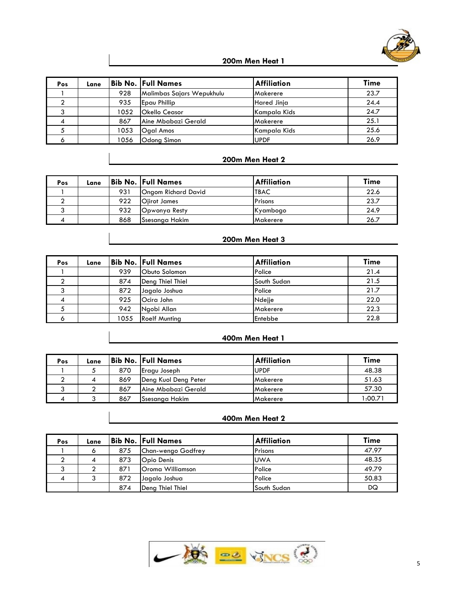

#### **200m Men Heat 1**

| Pos | Lane |      | <b>Bib No. Full Names</b> | <b>Affiliation</b> | Time |
|-----|------|------|---------------------------|--------------------|------|
|     |      | 928  | Malimbas Sajars Wepukhulu | Makerere           | 23.7 |
|     |      | 935  | Epau Phillip              | Hared Jinja        | 24.4 |
|     |      | 1052 | <b>Okello Ceasor</b>      | Kampala Kids       | 24.7 |
|     |      | 867  | Aine Mbabazi Gerald       | Makerere           | 25.1 |
|     |      | 1053 | <b>Ogal Amos</b>          | Kampala Kids       | 25.6 |
|     |      | 1056 | Odong Simon               | <b>UPDF</b>        | 26.9 |

# **200m Men Heat 2**

| Pos | Lane |     | <b>Bib No. Full Names</b> | <b>Affiliation</b> | <b>Time</b> |
|-----|------|-----|---------------------------|--------------------|-------------|
|     |      | 931 | Ongom Richard David       | <b>TBAC</b>        | 22.6        |
|     |      | 922 | Oiirot James              | Prisons            | 23.7        |
|     |      | 932 | Opwonya Resty             | Kyambogo           | 24.9        |
|     |      | 868 | ISsesanga Hakim           | <b>Makerere</b>    | 26.7        |

#### **200m Men Heat 3**

| Pos | Lane |      | <b>Bib No. Full Names</b> | <b>Affiliation</b> | Time |
|-----|------|------|---------------------------|--------------------|------|
|     |      | 939  | Obuto Solomon             | Police             | 21.4 |
|     |      | 874  | Deng Thiel Thiel          | South Sudan        | 21.5 |
|     |      | 872  | Jagalo Joshua             | Police             | 21.7 |
| 4   |      | 925  | Ocira John                | Ndejje             | 22.0 |
|     |      | 942  | Ngobi Allan               | Makerere           | 22.3 |
|     |      | 1055 | <b>Roelf Munting</b>      | Entebbe            | 22.8 |

#### **400m Men Heat 1**

| Pos | Lane |     | Bib No. Full Names   | <b>Affiliation</b> | Time   |
|-----|------|-----|----------------------|--------------------|--------|
|     |      | 870 | Eragu Joseph         | <b>UPDF</b>        | 48.38  |
|     |      | 869 | Deng Kuol Deng Peter | <b>IMakerere</b>   | 51.63  |
|     |      | 867 | Aine Mbabazi Gerald  | <b>Makerere</b>    | 57.30  |
|     |      | 867 | Ssesanga Hakim       | <b>IMakerere</b>   | 00.71: |

#### **400m Men Heat 2**

| Pos | Lane |     | <b>Bib No. Full Names</b> | <b>Affiliation</b> | Time  |
|-----|------|-----|---------------------------|--------------------|-------|
|     |      | 875 | Chan-wengo Godfrey        | Prisons            | 47.97 |
|     |      | 873 | <b>Opio Denis</b>         | <b>UWA</b>         | 48.35 |
| ົ   |      | 871 | Oroma Williamson          | Police             | 49.79 |
|     |      | 872 | Jagalo Joshua             | Police             | 50.83 |
|     |      | 874 | Deng Thiel Thiel          | South Sudan        | DQ    |

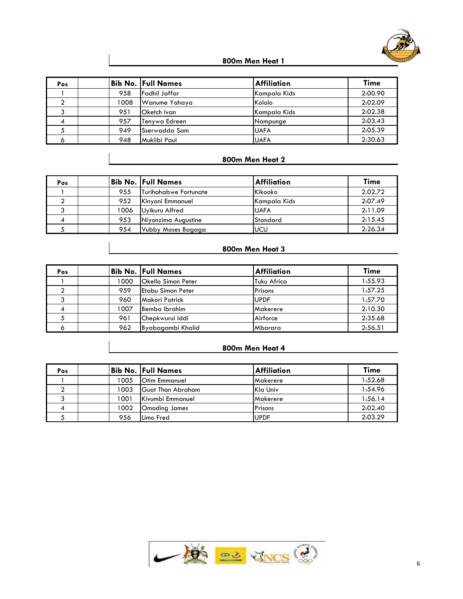

#### **800m Men Heat 1**

| Pos |      | Bib No.  Full Names | <b>Affiliation</b> | Time    |
|-----|------|---------------------|--------------------|---------|
|     | 958  | lFadhil Jaffar      | Kampala Kids       | 2:00.90 |
|     | 1008 | Wanume Yahaya       | Kololo             | 2:02.09 |
|     | 951  | Oketch Ivan         | Kampala Kids       | 2:02.38 |
| 4   | 957  | Tenywa Edreen       | Nampunge           | 2:03.43 |
|     | 949  | Sserwadda Sam       | <b>UAFA</b>        | 2:05.39 |
|     | 948  | Mukiibi Paul        | <b>UAFA</b>        | 2:30.63 |

# **800m Men Heat 2**

| Pos |      | Bib No.  Full Names   | <b>Affiliation</b> | <b>Time</b> |
|-----|------|-----------------------|--------------------|-------------|
|     | 955  | Turihohabwe Fortunate | Kikooko            | 2.02.72     |
|     | 952  | Kinyoni Emmanuel      | Kampala Kids       | 2:07.49     |
|     | 1006 | Uyikuru Alfred        | <b>UAFA</b>        | 2:11.09     |
|     | 953  | Niyonzima Augustine   | Standard           | 2:15.45     |
|     | 954  | Vubby Moses Bagaga    | <b>UCU</b>         | 2:26.34     |

# **800m Men Heat 3**

| Pos |      | Bib No.  Full Names       | <b>Affiliation</b> | <b>Time</b> |
|-----|------|---------------------------|--------------------|-------------|
|     | 1000 | <b>Okello Simon Peter</b> | Tuku Africa        | 1:55.93     |
|     | 959  | lEtabu Simon Peter        | Prisons            | 1:57.25     |
| ົ   | 960  | Makori Patrick            | <b>UPDF</b>        | 1:57.70     |
|     | 1007 | Bemba Ibrahim             | Makerere           | 2:10.30     |
|     | 961  | Chepkwurui Iddi           | Airforce           | 2:35.68     |
| Ô   | 962  | Byabagambi Khalid         | Mbarara            | 2:56.51     |

#### **800m Men Heat 4**

| Pos |      | Bib No.  Full Names  | <b>Affiliation</b> | Time    |
|-----|------|----------------------|--------------------|---------|
|     | 1005 | <b>Otim Emmanuel</b> | <b>Makerere</b>    | 1:52.68 |
|     | 1003 | Guot Thon Abraham    | <b>Kla Univ</b>    | 1:54.96 |
|     | 1001 | Kivumbi Emmanuel     | Makerere           | 1:56.14 |
|     | 1002 | <b>Omoding James</b> | Prisons            | 2:02.40 |
|     | 956  | Limo Fred            | <b>UPDF</b>        | 2:03.29 |

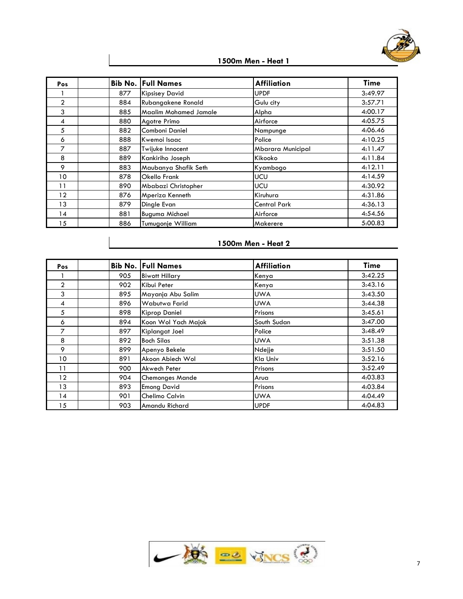

**1500m Men - Heat 1**

| Pos            |     | <b>Bib No. Full Names</b>    | <b>Affiliation</b>       | Time    |
|----------------|-----|------------------------------|--------------------------|---------|
|                | 877 | <b>Kipsisey David</b>        | <b>UPDF</b>              | 3:49.97 |
| $\overline{2}$ | 884 | Rubangakene Ronald           | Gulu city                | 3:57.71 |
| 3              | 885 | <b>Maalim Mohamed Jamale</b> | Alpha                    | 4:00.17 |
| 4              | 880 | Agotre Primo                 | Airforce                 | 4:05.75 |
| 5              | 882 | Comboni Daniel               | Nampunge                 | 4:06.46 |
| 6              | 888 | Kwemoi Isaac                 | Police                   | 4:10.25 |
| $\overline{7}$ | 887 | Twijuke Innocent             | <b>Mbarara Municipal</b> | 4:11.47 |
| 8              | 889 | Kankiriho Joseph             | Kikooko                  | 4:11.84 |
| 9              | 883 | Maubanya Shafik Seth         | Kyambogo                 | 4:12.11 |
| 10             | 878 | Okello Frank                 | <b>UCU</b>               | 4:14.59 |
| 11             | 890 | Mbabazi Christopher          | <b>UCU</b>               | 4:30.92 |
| 12             | 876 | Mperiza Kenneth              | Kiruhura                 | 4:31.86 |
| 13             | 879 | Dingle Evan                  | <b>Central Park</b>      | 4:36.13 |
| 14             | 881 | <b>Buguma Michael</b>        | Airforce                 | 4:54.56 |
| 15             | 886 | Tumugonje William            | Makerere                 | 5:00.83 |

# **1500m Men - Heat 2**

| <b>Pos</b>     |     | <b>Bib No. Full Names</b> | <b>Affiliation</b> | <b>Time</b> |
|----------------|-----|---------------------------|--------------------|-------------|
|                | 905 | <b>Biwott Hillary</b>     | Kenya              | 3:42.25     |
| $\overline{2}$ | 902 | Kibui Peter               | Kenya              | 3:43.16     |
| 3              | 895 | Mayanja Abu Salim         | <b>UWA</b>         | 3:43.50     |
| 4              | 896 | Wabutwa Farid             | <b>UWA</b>         | 3:44.38     |
| 5              | 898 | Kiprop Daniel             | Prisons            | 3:45.61     |
| 6              | 894 | Koon Wol Yach Majok       | South Sudan        | 3:47.00     |
| 7              | 897 | Kiplangat Joel            | Police             | 3:48.49     |
| 8              | 892 | <b>Boch Silas</b>         | <b>UWA</b>         | 3:51.38     |
| 9              | 899 | Apenyo Bekele             | Ndejje             | 3:51.50     |
| 10             | 891 | Akoon Abiech Wol          | Kla Univ           | 3:52.16     |
| 11             | 900 | Akwech Peter              | Prisons            | 3:52.49     |
| 12             | 904 | <b>Chemonges Mande</b>    | Arua               | 4:03.83     |
| 13             | 893 | <b>Emong David</b>        | Prisons            | 4:03.84     |
| 14             | 901 | Chelimo Calvin            | <b>UWA</b>         | 4:04.49     |
| 15             | 903 | Amandu Richard            | <b>UPDF</b>        | 4:04.83     |

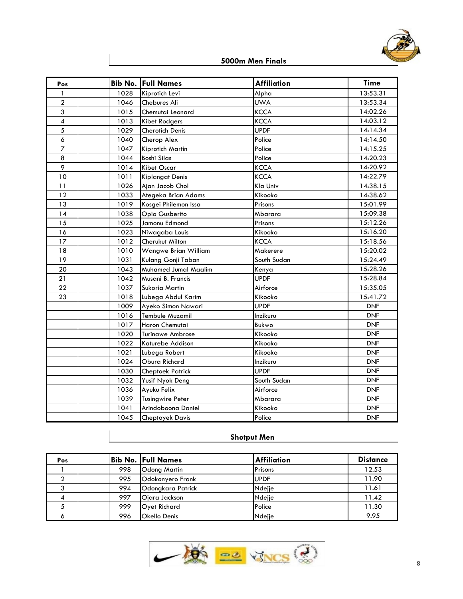

**5000m Men Finals**

| Pos                      | Bib No. | <b>Full Names</b>           | <b>Affiliation</b> | <b>Time</b> |
|--------------------------|---------|-----------------------------|--------------------|-------------|
| $\mathbf{1}$             | 1028    | Kiprotich Levi              | Alpha              | 13:53.31    |
| $\overline{a}$           | 1046    | Chebures Ali                | <b>UWA</b>         | 13:53.34    |
| 3                        | 1015    | Chemutai Leonard            | <b>KCCA</b>        | 14:02.26    |
| $\overline{\mathcal{A}}$ | 1013    | <b>Kibet Rodgers</b>        | <b>KCCA</b>        | 14:03.12    |
| 5                        | 1029    | <b>Cherotich Denis</b>      | <b>UPDF</b>        | 14:14.34    |
| 6                        | 1040    | Cherop Alex                 | Police             | 14:14.50    |
| $\overline{7}$           | 1047    | Kiprotich Martin            | Police             | 14:15.25    |
| 8                        | 1044    | <b>Boshi Silas</b>          | Police             | 14:20.23    |
| 9                        | 1014    | Kibet Oscar                 | <b>KCCA</b>        | 14:20.92    |
| 10                       | 1011    | <b>Kiplangat Denis</b>      | <b>KCCA</b>        | 14:22.79    |
| 11                       | 1026    | Ajan Jacob Chol             | Kla Univ           | 14:38.15    |
| 12                       | 1033    | Ategeka Brian Adams         | Kikooko            | 14:38.62    |
| 13                       | 1019    | Kosgei Philemon Issa        | Prisons            | 15:01.99    |
| 14                       | 1038    | Opio Gusberito              | Mbarara            | 15:09.38    |
| 15                       | 1025    | Jamonu Edmond               | Prisons            | 15:12.26    |
| 16                       | 1023    | Niwagaba Louis              | Kikooko            | 15:16.20    |
| 17                       | 1012    | Cherukut Milton             | <b>KCCA</b>        | 15:18.56    |
| 18                       | 1010    | Wangwe Brian William        | Makerere           | 15:20.02    |
| 19                       | 1031    | Kulang Gonji Taban          | South Sudan        | 15:24.49    |
| 20                       | 1043    | <b>Muhamed Jumal Maalim</b> | Kenya              | 15:28.26    |
| 21                       | 1042    | Musani B. Francis           | <b>UPDF</b>        | 15:28.84    |
| 22                       | 1037    | Sukoria Martin              | Airforce           | 15:35.05    |
| 23                       | 1018    | Lubega Abdul Karim          | Kikooko            | 15:41.72    |
|                          | 1009    | Ayeko Simon Nawari          | <b>UPDF</b>        | <b>DNF</b>  |
|                          | 1016    | <b>Tembule Muzamil</b>      | Inzikuru           | <b>DNF</b>  |
|                          | 1017    | Haron Chemutai              | Bukwo              | <b>DNF</b>  |
|                          | 1020    | <b>Turinawe Ambrose</b>     | Kikooko            | <b>DNF</b>  |
|                          | 1022    | Katurebe Addison            | Kikooko            | <b>DNF</b>  |
|                          | 1021    | Lubega Robert               | Kikooko            | <b>DNF</b>  |
|                          | 1024    | Obura Richard               | Inzikuru           | <b>DNF</b>  |
|                          | 1030    | <b>Cheptoek Patrick</b>     | <b>UPDF</b>        | <b>DNF</b>  |
|                          | 1032    | Yusif Nyok Deng             | South Sudan        | <b>DNF</b>  |
|                          | 1036    | Ayuku Felix                 | Airforce           | <b>DNF</b>  |
|                          | 1039    | <b>Tusingwire Peter</b>     | Mbarara            | <b>DNF</b>  |
|                          | 1041    | Arindoboona Daniel          | Kikooko            | <b>DNF</b>  |
|                          | 1045    | <b>Cheptoyek Davis</b>      | Police             | <b>DNF</b>  |

## **Shotput Men**

| Pos |     | Bib No. Full Names  | <b>Affiliation</b> | <b>Distance</b> |
|-----|-----|---------------------|--------------------|-----------------|
|     | 998 | <b>Odong Martin</b> | Prisons            | 12.53           |
|     | 995 | Odokonyero Frank    | <b>UPDF</b>        | 11.90           |
|     | 994 | Odongkara Patrick   | Ndejje             | 11.61           |
|     | 997 | Ojara Jackson       | Ndejje             | 11.42           |
|     | 999 | <b>Oyet Richard</b> | Police             | 11.30           |
| റ   | 996 | <b>Okello Denis</b> | Ndejje             | 9.95            |